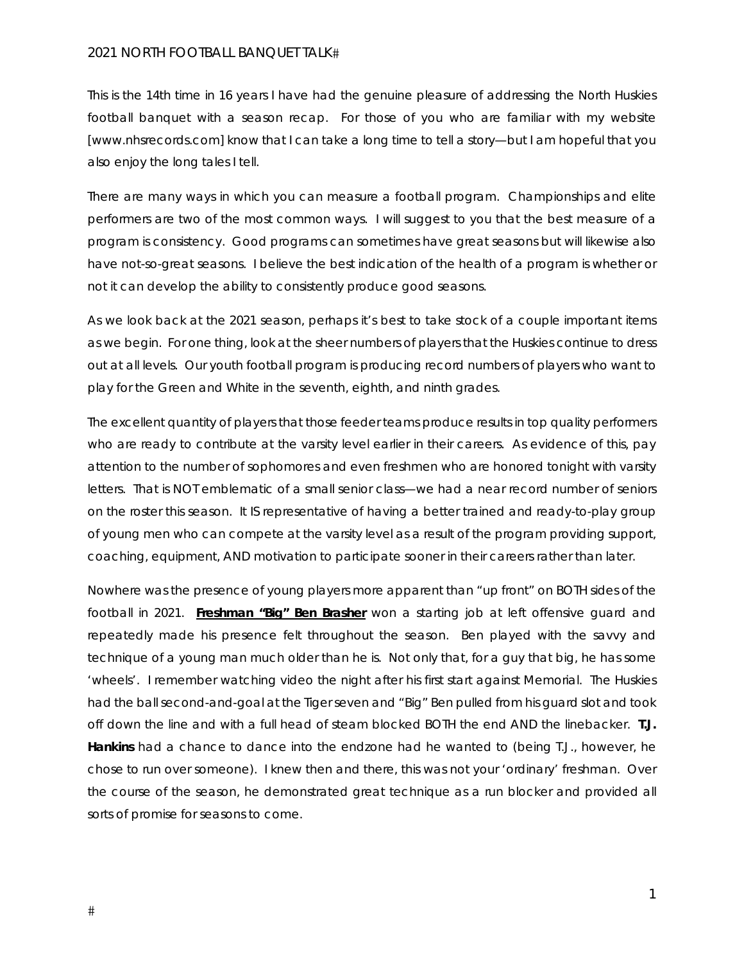This is the 14th time in 16 years I have had the genuine pleasure of addressing the North Huskies football banquet with a season recap. For those of you who are familiar with my website [www.nhsrecords.com] know that I can take a long time to tell a story—but I am hopeful that you also enjoy the long tales I tell.

There are many ways in which you can measure a football program. Championships and elite performers are two of the most common ways. I will suggest to you that the best measure of a program is consistency. Good programs can sometimes have great seasons but will likewise also have not-so-great seasons. I believe the best indication of the health of a program is whether or not it can develop the ability to consistently produce good seasons.

As we look back at the 2021 season, perhaps it's best to take stock of a couple important items as we begin. For one thing, look at the sheer numbers of players that the Huskies continue to dress out at all levels. Our youth football program is producing record numbers of players who want to play for the Green and White in the seventh, eighth, and ninth grades.

The excellent quantity of players that those feeder teams produce results in top quality performers who are ready to contribute at the varsity level earlier in their careers. As evidence of this, pay attention to the number of sophomores and even freshmen who are honored tonight with varsity letters. That is NOT emblematic of a small senior class—we had a near record number of seniors on the roster this season. It IS representative of having a better trained and ready-to-play group of young men who can compete at the varsity level as a result of the program providing support, coaching, equipment, AND motivation to participate sooner in their careers rather than later.

Nowhere was the presence of young players more apparent than "up front" on BOTH sides of the football in 2021. **Freshman "Big" Ben Brasher** won a starting job at left offensive guard and repeatedly made his presence felt throughout the season. Ben played with the savvy and technique of a young man much older than he is. Not only that, for a guy that big, he has some 'wheels'. I remember watching video the night after his first start against Memorial. The Huskies had the ball second-and-goal at the Tiger seven and "Big" Ben pulled from his guard slot and took off down the line and with a full head of steam blocked BOTH the end AND the linebacker. **T.J. Hankins** had a chance to dance into the endzone had he wanted to (being T.J., however, he chose to run over someone). I knew then and there, this was not your 'ordinary' freshman. Over the course of the season, he demonstrated great technique as a run blocker and provided all sorts of promise for seasons to come.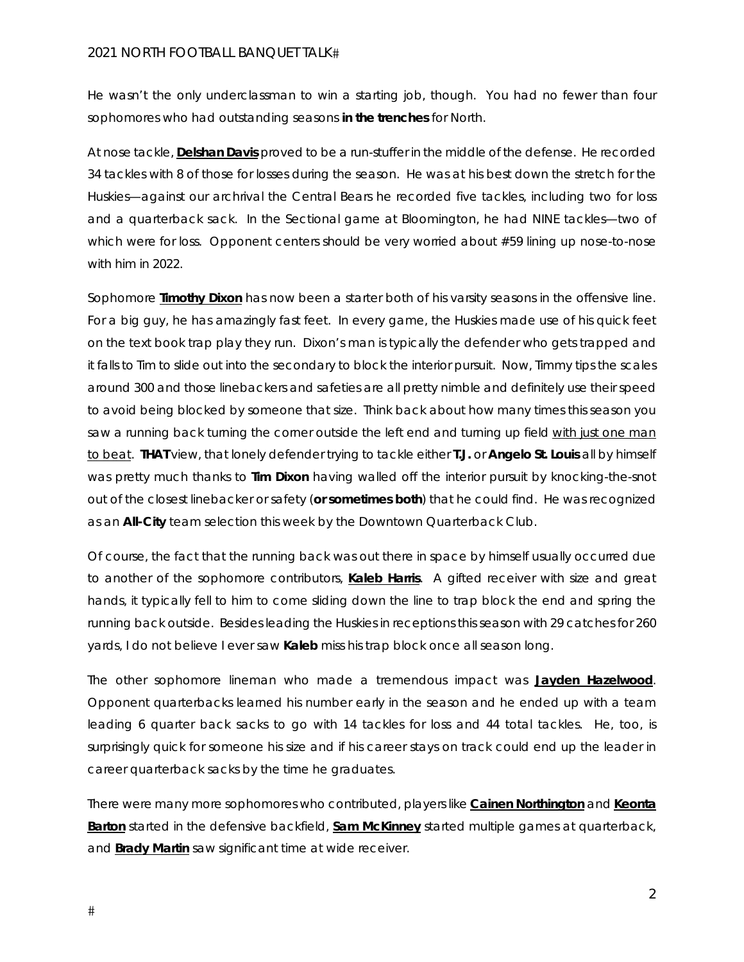He wasn't the only underclassman to win a starting job, though. You had no fewer than four sophomores who had outstanding seasons *in the trenches* for North.

At nose tackle, **Delshan Davis** proved to be a run-stuffer in the middle of the defense. He recorded 34 tackles with 8 of those for losses during the season. He was at his best down the stretch for the Huskies—against our archrival the Central Bears he recorded five tackles, including two for loss and a quarterback sack. In the Sectional game at Bloomington, he had NINE tackles—two of which were for loss. Opponent centers should be very worried about #59 lining up nose-to-nose with him in 2022.

Sophomore **Timothy Dixon** has now been a starter both of his varsity seasons in the offensive line. For a big guy, he has amazingly fast feet. In every game, the Huskies made use of his quick feet on the text book trap play they run. Dixon's man is typically the defender who gets trapped and it falls to Tim to slide out into the secondary to block the interior pursuit. Now, Timmy tips the scales around 300 and those linebackers and safeties are all pretty nimble and definitely use their speed to avoid being blocked by someone that size. Think back about how many times this season you saw a running back turning the corner outside the left end and turning up field *with just one man to beat*. **THAT** view, that lonely defender trying to tackle either **T.J.** or **Angelo St. Louis** all by himself was pretty much thanks to **Tim Dixon** having walled off the interior pursuit by *knocking-the-snot* out of the closest linebacker or safety (*or sometimes both*) that he could find. He was recognized as an **All-City** team selection this week by the Downtown Quarterback Club.

Of course, the fact that the running back was out there in space by himself usually occurred due to another of the sophomore contributors, **Kaleb Harris**. A gifted receiver with size and great hands, it typically fell to him to come sliding down the line to trap block the end and spring the running back outside. Besides leading the Huskies in receptions this season with 29 catches for 260 yards, I do not believe I ever saw **Kaleb** miss his trap block once all season long.

The other sophomore lineman who made a tremendous impact was **Jayden Hazelwood**. Opponent quarterbacks learned his number early in the season and he ended up with a team leading 6 quarter back sacks to go with 14 tackles for loss and 44 total tackles. He, too, is surprisingly quick for someone his size and if his career stays on track could end up the leader in career quarterback sacks by the time he graduates.

There were many more sophomores who contributed, players like **Cainen Northington** and **Keonta Barton** started in the defensive backfield, **Sam McKinney** started multiple games at quarterback, and **Brady Martin** saw significant time at wide receiver.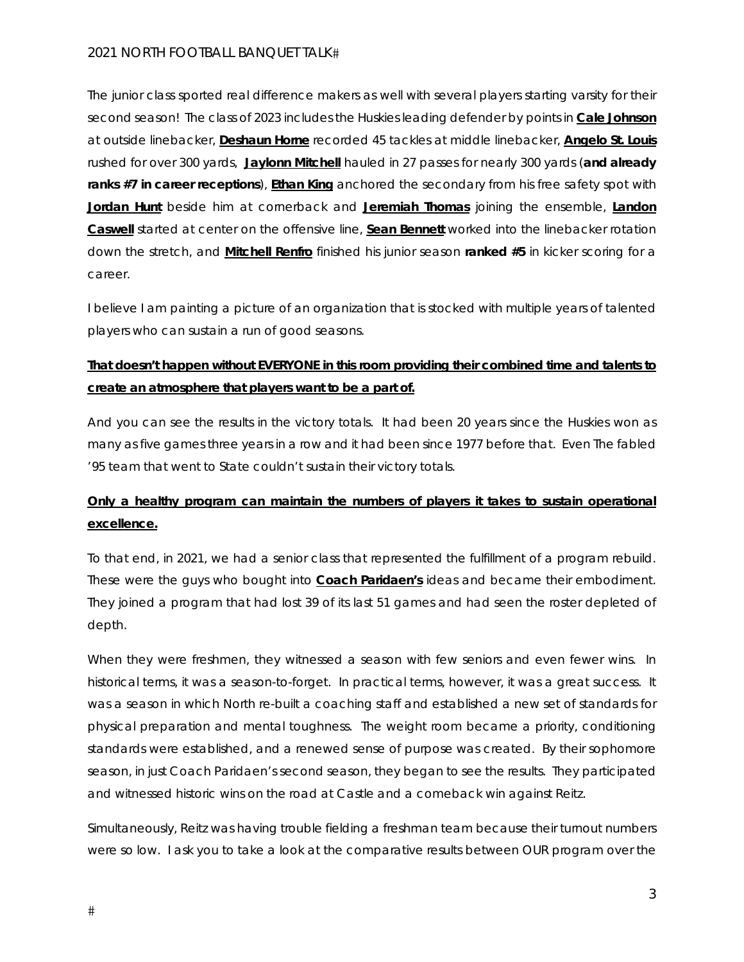The junior class sported real difference makers as well with several players starting varsity for their second season! The class of 2023 includes the Huskies leading defender by points in **Cale Johnson** at outside linebacker, **Deshaun Horne** recorded 45 tackles at middle linebacker, **Angelo St. Louis** rushed for over 300 yards, **Jaylonn Mitchell** hauled in 27 passes for nearly 300 yards (*and already ranks #7 in career receptions*), **Ethan King** anchored the secondary from his free safety spot with **Jordan Hunt** beside him at cornerback and **Jeremiah Thomas** joining the ensemble, **Landon Caswell** started at center on the offensive line, **Sean Bennett** worked into the linebacker rotation down the stretch, and **Mitchell Renfro** finished his junior season *ranked #5* in kicker scoring for a career.

*I* believe I am painting a picture of an organization that is stocked with multiple years of talented *players who can sustain a run of good seasons*.

## **That doesn't happen without EVERYONE in this room providing their combined time and talents to create an atmosphere that players want to be a part of.**

And you can see the results in the victory totals. It had been 20 years since the Huskies won as many as five games three years in a row and it had been since 1977 before that. *Even The fabled '95 team that went to State couldn't sustain their victory totals.* 

# **Only a healthy program can maintain the numbers of players it takes to sustain operational excellence.**

To that end, in 2021, we had a senior class that represented the fulfillment of a program rebuild. These were the guys who bought into **Coach Paridaen's** ideas and became their embodiment. They joined a program that had lost 39 of its last 51 games and had seen the roster depleted of depth.

When they were freshmen, they witnessed a season with few seniors and even fewer wins. In historical terms, *it was a season-to-forget*. In practical terms, however, it was a great success. It was a season in which North re-built a coaching staff and established a new set of standards for physical preparation and mental toughness. The weight room became a priority, conditioning standards were established, and a renewed sense of purpose was created. By their sophomore season, *in just Coach Paridaen's second season*, they began to see the results. They participated and witnessed historic wins on the road at Castle and a comeback win against Reitz.

Simultaneously, Reitz was having trouble fielding a freshman team because their turnout numbers were so low. I ask you to take a look at the comparative results between OUR program over the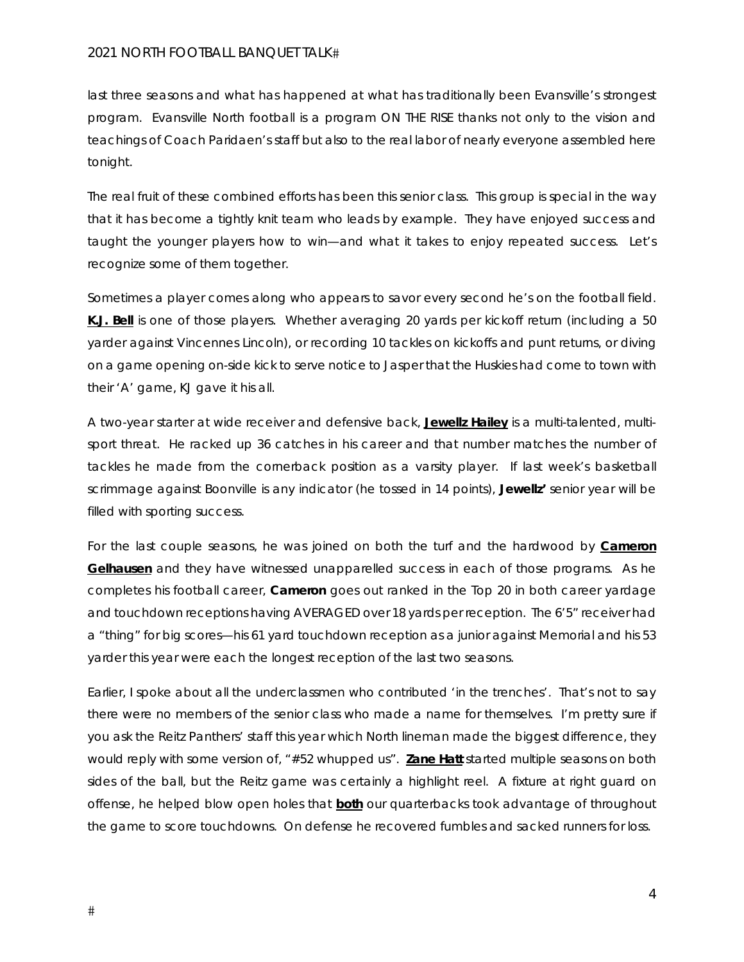last three seasons and what has happened at what has traditionally been Evansville's strongest program. Evansville North football is a program ON THE RISE thanks not only to the vision and teachings of Coach Paridaen's staff but also to the real labor of nearly everyone assembled here tonight.

The real fruit of these combined efforts has been this senior class. This group is special in the way that it has become a tightly knit team who leads by example. They have enjoyed success and taught the younger players how to win—and what it takes to enjoy repeated success. Let's recognize some of them together.

Sometimes a player comes along who appears to savor every second he's on the football field. **K.J. Bell** is one of those players. Whether averaging 20 yards per kickoff return (including a 50 yarder against Vincennes Lincoln), or recording 10 tackles on kickoffs and punt returns, or diving on a game opening on-side kick to serve notice to Jasper that the Huskies had come to town with their 'A' game, KJ gave it his all.

A two-year starter at wide receiver and defensive back, **Jewellz Hailey** is a multi-talented, multisport threat. He racked up 36 catches in his career and that number matches the number of tackles he made from the cornerback position as a varsity player. If last week's basketball scrimmage against Boonville is any indicator (he tossed in 14 points), **Jewellz'** senior year will be filled with sporting success.

For the last couple seasons, he was joined on both the turf and the hardwood by **Cameron Gelhausen** and they have witnessed unapparelled success in each of those programs. As he completes his football career, **Cameron** goes out ranked in the Top 20 in both career yardage and touchdown receptions having AVERAGED over 18 yards per reception. The 6'5" receiver had a "thing" for big scores—his 61 yard touchdown reception as a junior against Memorial and his 53 yarder this year were each the longest reception of the last two seasons.

Earlier, I spoke about all the underclassmen who contributed *'in the trenches'*. That's not to say there were no members of the senior class who made a name for themselves. I'm pretty sure if you ask the Reitz Panthers' staff this year which North lineman made the biggest difference, they would reply with some version of, *"#52 whupped us".* **Zane Hatt** started multiple seasons on both sides of the ball, but the Reitz game was certainly a highlight reel. A fixture at right guard on offense, he helped blow open holes that *both* our quarterbacks took advantage of throughout the game to score touchdowns. On defense he recovered fumbles and sacked runners for loss.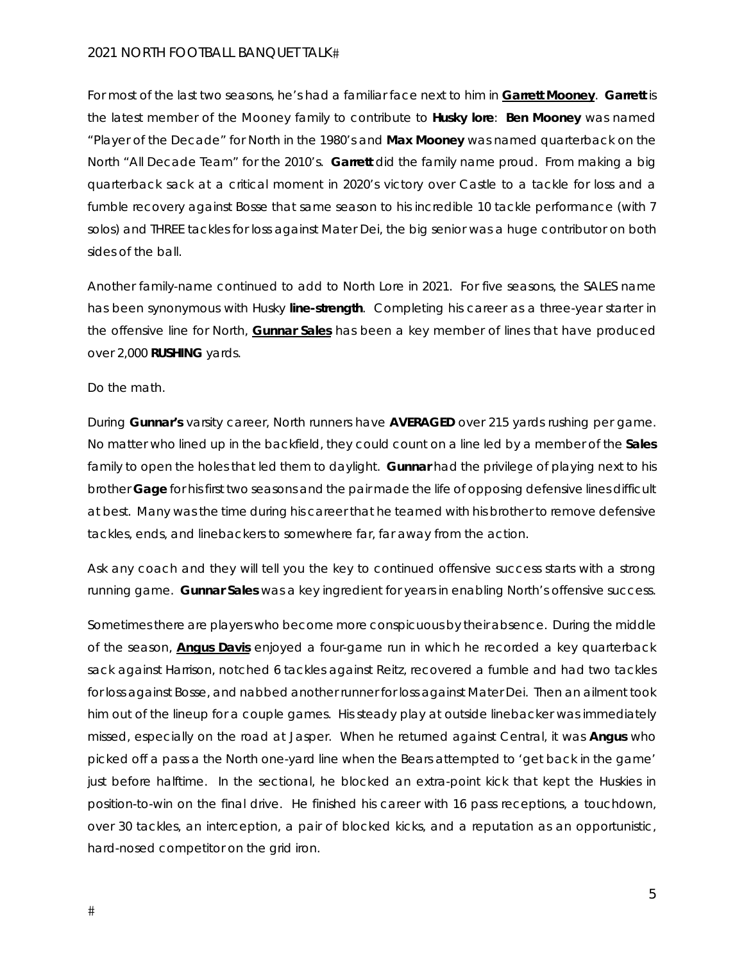For most of the last two seasons, he's had a familiar face next to him in **Garrett Mooney**. **Garrett** is the latest member of the Mooney family to contribute to *Husky lore*: **Ben Mooney** was named "*Player of the Decade*" for North in the 1980's and **Max Mooney** was named quarterback on the North "*All Decade Team"* for the 2010's. **Garrett** did the family name proud. From making a big quarterback sack at a critical moment in 2020's victory over Castle to a tackle for loss and a fumble recovery against Bosse that same season to his incredible 10 tackle performance (with 7 solos) and THREE tackles for loss against Mater Dei, the big senior was a huge contributor on both sides of the ball.

Another *family-name* continued to add to *North Lore* in 2021. For five seasons, the SALES name has been synonymous with Husky *line-strength*. Completing his career as a three-year starter in the offensive line for North, **Gunnar Sales** has been a key member of lines that have produced over 2,000 **RUSHING** yards.

Do the math.

During **Gunnar's** varsity career, North runners have **AVERAGED** over 215 yards rushing per game. No matter who lined up in the backfield, they could count on a line led by a member of the **Sales** family to open the holes that led them to daylight. **Gunnar** had the privilege of playing next to his brother **Gage** for his first two seasons and the pair made the life of opposing defensive lines difficult at best. Many was the time during his career that he teamed with his brother to remove defensive tackles, ends, and linebackers to somewhere far, far away from the action.

Ask any coach and they will tell you *the key to continued offensive success* starts with a strong running game. **Gunnar Sales** was a key ingredient for years in enabling North's offensive success.

Sometimes there are players who become more conspicuous by their absence. During the middle of the season, **Angus Davis** enjoyed a four-game run in which he recorded a key quarterback sack against Harrison, notched 6 tackles against Reitz, recovered a fumble and had two tackles for loss against Bosse, and nabbed another runner for loss against Mater Dei. Then an ailment took him out of the lineup for a couple games. His steady play at outside linebacker was immediately missed, especially on the road at Jasper. When he returned against Central, it was **Angus** who picked off a pass a the North one-yard line when the Bears attempted to '*get back in the game'* just before halftime. In the sectional, he blocked an extra-point kick that kept the Huskies in position-to-win on the final drive. He finished his career with 16 pass receptions, a touchdown, over 30 tackles, an interception, a pair of blocked kicks, and a reputation as an opportunistic, hard-nosed competitor on the grid iron.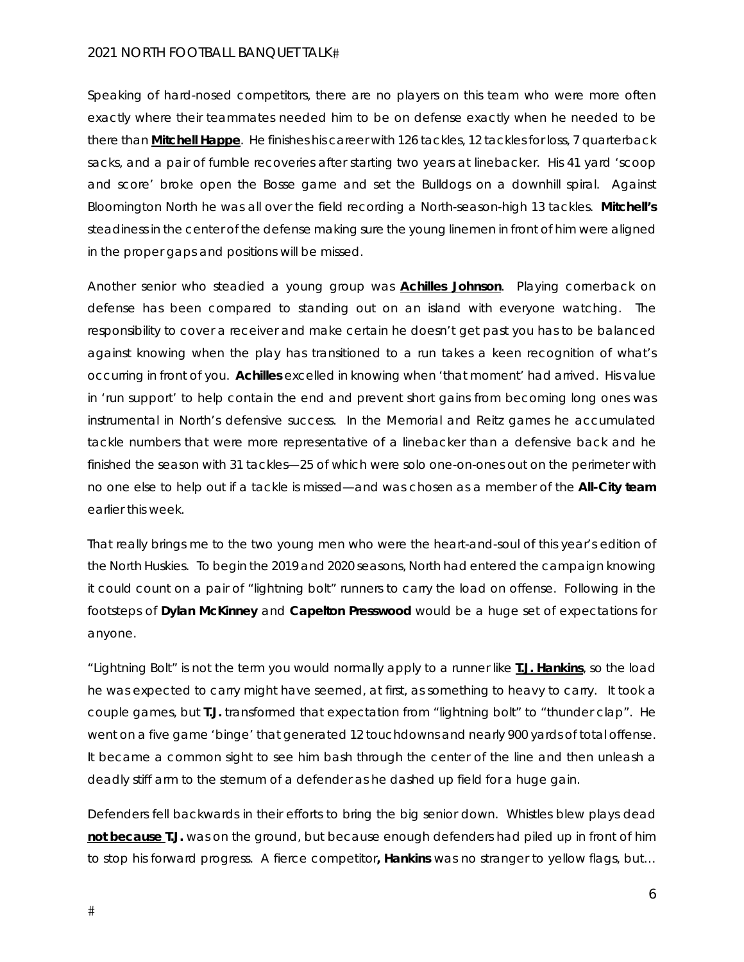Speaking of hard-nosed competitors, there are no players on this team who were more often exactly where their teammates needed him to be on defense exactly when he needed to be there than **Mitchell Happe**. He finishes his career with 126 tackles, 12 tackles for loss, 7 quarterback sacks, and a pair of fumble recoveries after starting two years at linebacker. His 41 yard '*scoop and score*' broke open the Bosse game and set the Bulldogs on a downhill spiral. Against Bloomington North he was all over the field recording a North-season-high 13 tackles. **Mitchell's** steadiness in the center of the defense making sure the young linemen in front of him were aligned in the proper gaps and positions will be missed.

Another senior who steadied a young group was **Achilles Johnson**. Playing cornerback on defense has been compared to standing out on an island with everyone watching. The responsibility to cover a receiver and make certain he doesn't get past you has to be balanced against knowing when the play has transitioned to a run takes a keen recognition of what's occurring in front of you. **Achilles** excelled in knowing when '*that moment'* had arrived. His value in '*run support'* to help contain the end and prevent short gains from becoming long ones was instrumental in North's defensive success. In the Memorial and Reitz games he accumulated tackle numbers that were more representative of a linebacker than a defensive back and he finished the season with 31 tackles—25 of which were solo one-on-ones out on the perimeter with no one else to help out if a tackle is missed—and was chosen as a member of the **All-City team** earlier this week.

That really brings me to the two young men who were the heart-and-soul of this year's edition of the North Huskies. To begin the 2019 and 2020 seasons, North had entered the campaign knowing it could count on a pair of "*lightning bolt*" runners to carry the load on offense. Following in the footsteps of **Dylan McKinney** and **Capelton Presswood** would be a huge set of expectations for anyone.

"*Lightning Bolt*" is not the term you would normally apply to a runner like **T.J. Hankins**, so the load he was expected to carry might have seemed, at first, as something to heavy to carry. It took a couple games, but **T.J.** transformed that expectation from "*lightning bolt*" to "*thunder clap*". He went on a five game 'binge' that generated 12 touchdowns and nearly 900 yards of total offense. It became a common sight to see him bash through the center of the line and then unleash a deadly stiff arm to the sternum of a defender as he dashed up field for a huge gain.

Defenders fell backwards in their efforts to bring the big senior down. Whistles blew plays dead *not because* **T.J.** was on the ground, but because enough defenders had piled up in front of him to stop his forward progress. A fierce competitor**, Hankins** was no stranger to yellow flags, but*…*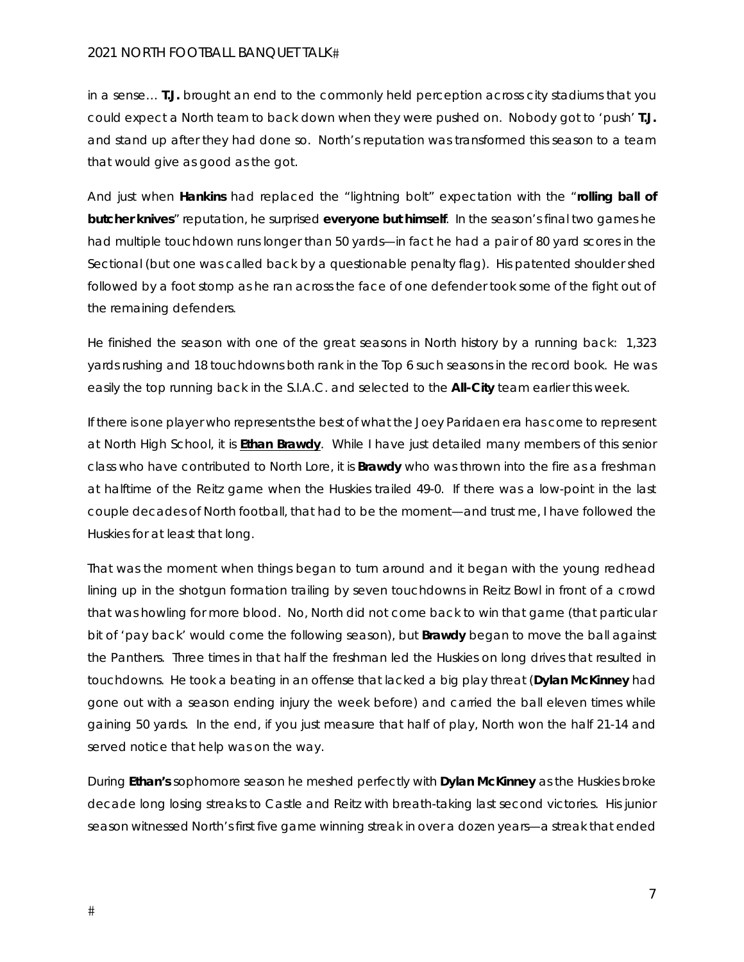*in a sense…* **T.J.** brought an end to the commonly held perception across city stadiums that you could expect a North team to back down when they were pushed on. Nobody got to 'push' **T.J.** and stand up after they had done so. North's reputation was transformed this season to a team that would give as good as the got.

And just when **Hankins** had replaced the "*lightning bolt*" expectation with the "*rolling ball of butcher knives*" reputation, he surprised *everyone but himself*. In the season's final two games he had multiple touchdown runs longer than 50 yards—in fact he had a pair of 80 yard scores in the Sectional (but one was called back by a questionable penalty flag). His patented shoulder shed followed by a foot stomp as he ran across the face of one defender took some of the fight out of the remaining defenders.

He finished the season with one of the great seasons in North history by a running back: 1,323 yards rushing and 18 touchdowns both rank in the Top 6 such seasons in the record book. He was easily the top running back in the S.I.A.C. and selected to the **All-City** team earlier this week.

If there is one player who represents the best of what the Joey Paridaen era has come to represent at North High School, it is **Ethan Brawdy**. While I have just detailed many members of this senior class who have contributed to North Lore, it is **Brawdy** who was thrown into the fire as a freshman at halftime of the Reitz game when the Huskies trailed 49-0. If there was a low-point in the last couple decades of North football, that had to be the moment—and trust me, I have followed the Huskies for at least that long.

That was the moment when things began to turn around and it began with the young redhead lining up in the shotgun formation trailing by seven touchdowns in Reitz Bowl in front of a crowd that was howling for more blood. No, North did not come back to win that game (that particular bit of 'pay back' would come the following season), but **Brawdy** began to move the ball against the Panthers. Three times in that half the freshman led the Huskies on long drives that resulted in touchdowns. He took a beating in an offense that lacked a big play threat (**Dylan McKinney** had gone out with a season ending injury the week before) and carried the ball eleven times while gaining 50 yards. In the end, if you just measure that half of play, North won the half 21-14 and served notice that help was on the way.

During **Ethan's** sophomore season he meshed perfectly with **Dylan McKinney** as the Huskies broke decade long losing streaks to Castle and Reitz with breath-taking last second victories. His junior season witnessed North's first five game winning streak in over a dozen years—a streak that ended